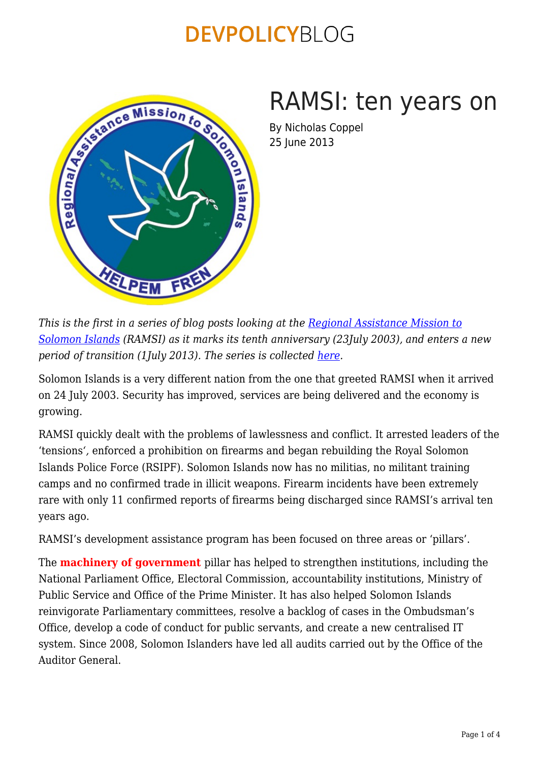

# RAMSI: ten years on

By Nicholas Coppel 25 June 2013

*This is the first in a series of blog posts looking at the [Regional Assistance Mission to](http://www.ramsi.org/) [Solomon Islands](http://www.ramsi.org/) (RAMSI) as it marks its tenth anniversary (23July 2003), and enters a new period of transition (1July 2013). The series is collected [here.](https://devpolicy.org/tag/ramsi/)* 

Solomon Islands is a very different nation from the one that greeted RAMSI when it arrived on 24 July 2003. Security has improved, services are being delivered and the economy is growing.

RAMSI quickly dealt with the problems of lawlessness and conflict. It arrested leaders of the 'tensions*',* enforced a prohibition on firearms and began rebuilding the Royal Solomon Islands Police Force (RSIPF). Solomon Islands now has no militias, no militant training camps and no confirmed trade in illicit weapons. Firearm incidents have been extremely rare with only 11 confirmed reports of firearms being discharged since RAMSI's arrival ten years ago.

RAMSI's development assistance program has been focused on three areas or 'pillars'.

The **machinery of government** pillar has helped to strengthen institutions, including the National Parliament Office, Electoral Commission, accountability institutions, Ministry of Public Service and Office of the Prime Minister. It has also helped Solomon Islands reinvigorate Parliamentary committees, resolve a backlog of cases in the Ombudsman's Office, develop a code of conduct for public servants, and create a new centralised IT system. Since 2008, Solomon Islanders have led all audits carried out by the Office of the Auditor General.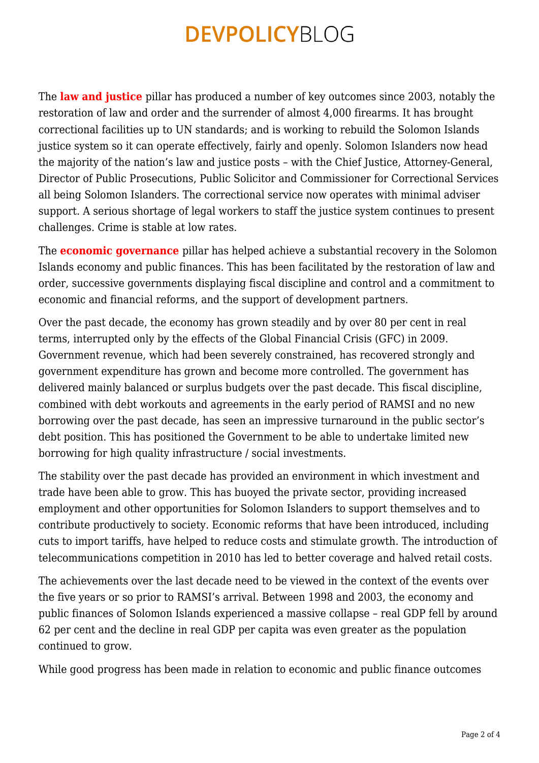The **law and justice** pillar has produced a number of key outcomes since 2003, notably the restoration of law and order and the surrender of almost 4,000 firearms. It has brought correctional facilities up to UN standards; and is working to rebuild the Solomon Islands justice system so it can operate effectively, fairly and openly. Solomon Islanders now head the majority of the nation's law and justice posts – with the Chief Justice, Attorney-General, Director of Public Prosecutions, Public Solicitor and Commissioner for Correctional Services all being Solomon Islanders. The correctional service now operates with minimal adviser support. A serious shortage of legal workers to staff the justice system continues to present challenges. Crime is stable at low rates.

The **economic governance** pillar has helped achieve a substantial recovery in the Solomon Islands economy and public finances. This has been facilitated by the restoration of law and order, successive governments displaying fiscal discipline and control and a commitment to economic and financial reforms, and the support of development partners.

Over the past decade, the economy has grown steadily and by over 80 per cent in real terms, interrupted only by the effects of the Global Financial Crisis (GFC) in 2009. Government revenue, which had been severely constrained, has recovered strongly and government expenditure has grown and become more controlled. The government has delivered mainly balanced or surplus budgets over the past decade. This fiscal discipline, combined with debt workouts and agreements in the early period of RAMSI and no new borrowing over the past decade, has seen an impressive turnaround in the public sector's debt position. This has positioned the Government to be able to undertake limited new borrowing for high quality infrastructure / social investments.

The stability over the past decade has provided an environment in which investment and trade have been able to grow. This has buoyed the private sector, providing increased employment and other opportunities for Solomon Islanders to support themselves and to contribute productively to society. Economic reforms that have been introduced, including cuts to import tariffs, have helped to reduce costs and stimulate growth. The introduction of telecommunications competition in 2010 has led to better coverage and halved retail costs.

The achievements over the last decade need to be viewed in the context of the events over the five years or so prior to RAMSI's arrival. Between 1998 and 2003, the economy and public finances of Solomon Islands experienced a massive collapse – real GDP fell by around 62 per cent and the decline in real GDP per capita was even greater as the population continued to grow.

While good progress has been made in relation to economic and public finance outcomes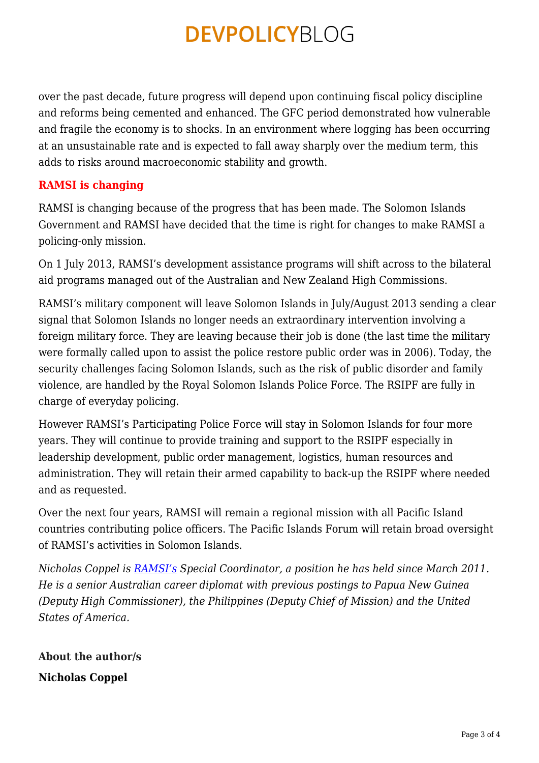over the past decade, future progress will depend upon continuing fiscal policy discipline and reforms being cemented and enhanced. The GFC period demonstrated how vulnerable and fragile the economy is to shocks. In an environment where logging has been occurring at an unsustainable rate and is expected to fall away sharply over the medium term, this adds to risks around macroeconomic stability and growth.

#### **RAMSI is changing**

RAMSI is changing because of the progress that has been made. The Solomon Islands Government and RAMSI have decided that the time is right for changes to make RAMSI a policing-only mission.

On 1 July 2013, RAMSI's development assistance programs will shift across to the bilateral aid programs managed out of the Australian and New Zealand High Commissions.

RAMSI's military component will leave Solomon Islands in July/August 2013 sending a clear signal that Solomon Islands no longer needs an extraordinary intervention involving a foreign military force. They are leaving because their job is done (the last time the military were formally called upon to assist the police restore public order was in 2006). Today, the security challenges facing Solomon Islands, such as the risk of public disorder and family violence, are handled by the Royal Solomon Islands Police Force. The RSIPF are fully in charge of everyday policing.

However RAMSI's Participating Police Force will stay in Solomon Islands for four more years. They will continue to provide training and support to the RSIPF especially in leadership development, public order management, logistics, human resources and administration. They will retain their armed capability to back-up the RSIPF where needed and as requested.

Over the next four years, RAMSI will remain a regional mission with all Pacific Island countries contributing police officers. The Pacific Islands Forum will retain broad oversight of RAMSI's activities in Solomon Islands.

*Nicholas Coppel is [RAMSI's](http://www.ramsi.org/) Special Coordinator, a position he has held since March 2011. He is a senior Australian career diplomat with previous postings to Papua New Guinea (Deputy High Commissioner), the Philippines (Deputy Chief of Mission) and the United States of America.*

**About the author/s Nicholas Coppel**